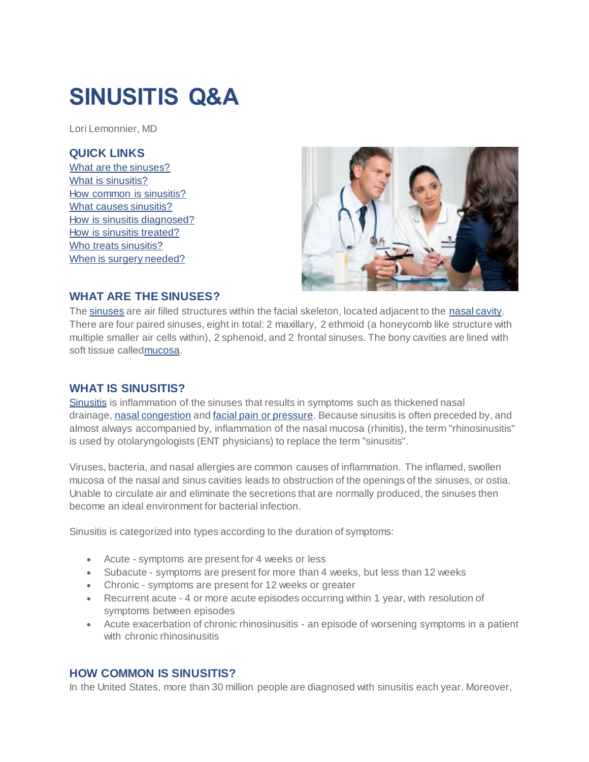# **SINUSITIS Q&A**

Lori Lemonnier, MD

#### **QUICK LINKS**

[What are the sinuses?](http://care.american-rhinologic.org/sinusitis_q_a#q1) [What is sinusitis?](http://care.american-rhinologic.org/sinusitis_q_a#q2) [How common is sinusitis?](http://care.american-rhinologic.org/sinusitis_q_a#q3) [What causes sinusitis?](http://care.american-rhinologic.org/sinusitis_q_a#q4) [How is sinusitis diagnosed?](http://care.american-rhinologic.org/sinusitis_q_a#q5) [How is sinusitis treated?](http://care.american-rhinologic.org/sinusitis_q_a#q6) [Who treats sinusitis?](http://care.american-rhinologic.org/sinusitis_q_a#q7) [When is surgery needed?](http://care.american-rhinologic.org/sinusitis_q_a#q8)



## **WHAT ARE THE SINUSES?**

The [sinuses](http://care.american-rhinologic.org/sinus_anatomy) are air filled structures within the facial skeleton, located adjacent to the [nasal cavity.](http://care.american-rhinologic.org/nasal_anatomy) There are four paired sinuses, eight in total: 2 maxillary, 2 ethmoid (a honeycomb like structure with multiple smaller air cells within), 2 sphenoid, and 2 frontal sinuses. The bony cavities are lined with soft tissue calle[dmucosa.](http://care.american-rhinologic.org/nasal_physiology)

#### **WHAT IS SINUSITIS?**

[Sinusitis](http://care.american-rhinologic.org/adult_sinusitis) is inflammation of the sinuses that results in symptoms such as thickened nasal drainage, [nasal congestion](http://care.american-rhinologic.org/snoring_nasal_congestion) and [facial pain or pressure.](http://care.american-rhinologic.org/headaches_and_sinus_disease) Because sinusitis is often preceded by, and almost always accompanied by, inflammation of the nasal mucosa (rhinitis), the term "rhinosinusitis" is used by otolaryngologists (ENT physicians) to replace the term "sinusitis".

Viruses, bacteria, and nasal allergies are common causes of inflammation. The inflamed, swollen mucosa of the nasal and sinus cavities leads to obstruction of the openings of the sinuses, or ostia. Unable to circulate air and eliminate the secretions that are normally produced, the sinuses then become an ideal environment for bacterial infection.

Sinusitis is categorized into types according to the duration of symptoms:

- Acute symptoms are present for 4 weeks or less
- Subacute symptoms are present for more than 4 weeks, but less than 12 weeks
- Chronic symptoms are present for 12 weeks or greater
- Recurrent acute 4 or more acute episodes occurring within 1 year, with resolution of symptoms between episodes
- Acute exacerbation of chronic rhinosinusitis an episode of worsening symptoms in a patient with chronic rhinosinusitis

## **HOW COMMON IS SINUSITIS?**

In the United States, more than 30 million people are diagnosed with sinusitis each year. Moreover,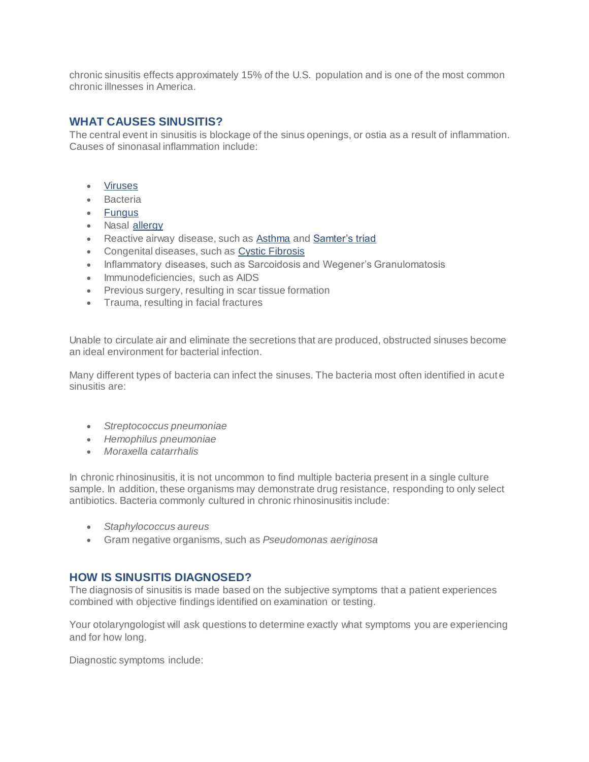chronic sinusitis effects approximately 15% of the U.S. population and is one of the most common chronic illnesses in America.

# **WHAT CAUSES SINUSITIS?**

The central event in sinusitis is blockage of the sinus openings, or ostia as a result of inflammation. Causes of sinonasal inflammation include:

- [Viruses](http://care.american-rhinologic.org/upper_respiratory_infections)
- **•** Bacteria
- [Fungus](http://care.american-rhinologic.org/fungal_sinusitis)
- Nasal [allergy](http://care.american-rhinologic.org/allergic_rhinitis)
- Reactive airway disease, such as **[Asthma](http://care.american-rhinologic.org/unified_airway)** and **[Samter's triad](http://care.american-rhinologic.org/aspirin)**
- Congenital diseases, such as [Cystic Fibrosis](http://care.american-rhinologic.org/cf)
- Inflammatory diseases, such as Sarcoidosis and Wegener's Granulomatosis
- Immunodeficiencies, such as AIDS
- Previous surgery, resulting in scar tissue formation
- Trauma, resulting in facial fractures

Unable to circulate air and eliminate the secretions that are produced, obstructed sinuses become an ideal environment for bacterial infection.

Many different types of bacteria can infect the sinuses. The bacteria most often identified in acut e sinusitis are:

- *Streptococcus pneumoniae*
- *Hemophilus pneumoniae*
- *Moraxella catarrhalis*

In chronic rhinosinusitis, it is not uncommon to find multiple bacteria present in a single culture sample. In addition, these organisms may demonstrate drug resistance, responding to only select antibiotics. Bacteria commonly cultured in chronic rhinosinusitis include:

- *Staphylococcus aureus*
- Gram negative organisms, such as *Pseudomonas aeriginosa*

#### **HOW IS SINUSITIS DIAGNOSED?**

The diagnosis of sinusitis is made based on the subjective symptoms that a patient experiences combined with objective findings identified on examination or testing.

Your otolaryngologist will ask questions to determine exactly what symptoms you are experiencing and for how long.

Diagnostic symptoms include: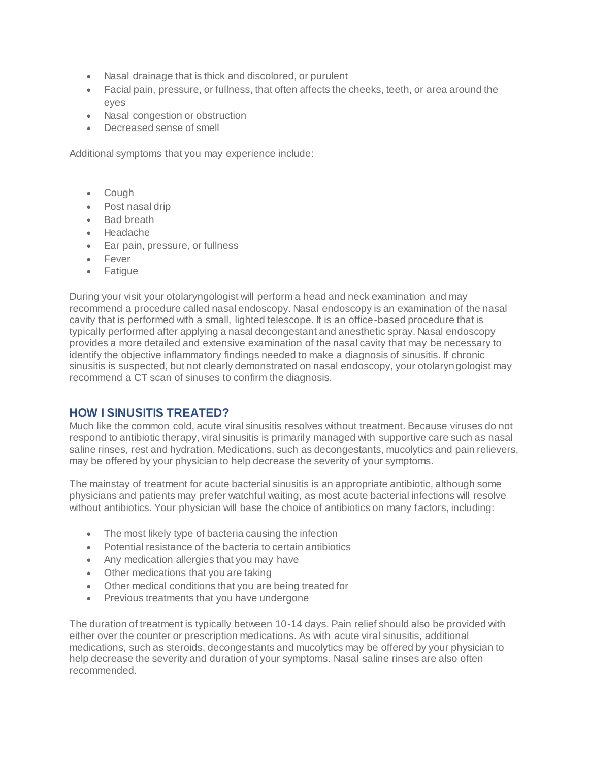- Nasal drainage that is thick and discolored, or purulent
- Facial pain, pressure, or fullness, that often affects the cheeks, teeth, or area around the eyes
- Nasal congestion or obstruction
- Decreased sense of smell

Additional symptoms that you may experience include:

- Cough
- Post nasal drip
- Bad breath
- Headache
- Ear pain, pressure, or fullness
- Fever
- Fatique

During your visit your otolaryngologist will perform a head and neck examination and may recommend a procedure called nasal endoscopy. Nasal endoscopy is an examination of the nasal cavity that is performed with a small, lighted telescope. It is an office-based procedure that is typically performed after applying a nasal decongestant and anesthetic spray. Nasal endoscopy provides a more detailed and extensive examination of the nasal cavity that may be necessary to identify the objective inflammatory findings needed to make a diagnosis of sinusitis. If chronic sinusitis is suspected, but not clearly demonstrated on nasal endoscopy, your otolaryngologist may recommend a CT scan of sinuses to confirm the diagnosis.

#### **HOW I SINUSITIS TREATED?**

Much like the common cold, acute viral sinusitis resolves without treatment. Because viruses do not respond to antibiotic therapy, viral sinusitis is primarily managed with supportive care such as nasal saline rinses, rest and hydration. Medications, such as decongestants, mucolytics and pain relievers, may be offered by your physician to help decrease the severity of your symptoms.

The mainstay of treatment for acute bacterial sinusitis is an appropriate antibiotic, although some physicians and patients may prefer watchful waiting, as most acute bacterial infections will resolve without antibiotics. Your physician will base the choice of antibiotics on many factors, including:

- The most likely type of bacteria causing the infection
- Potential resistance of the bacteria to certain antibiotics
- Any medication allergies that you may have
- Other medications that you are taking
- Other medical conditions that you are being treated for
- **•** Previous treatments that you have undergone

The duration of treatment is typically between 10-14 days. Pain relief should also be provided with either over the counter or prescription medications. As with acute viral sinusitis, additional medications, such as steroids, decongestants and mucolytics may be offered by your physician to help decrease the severity and duration of your symptoms. Nasal saline rinses are also often recommended.